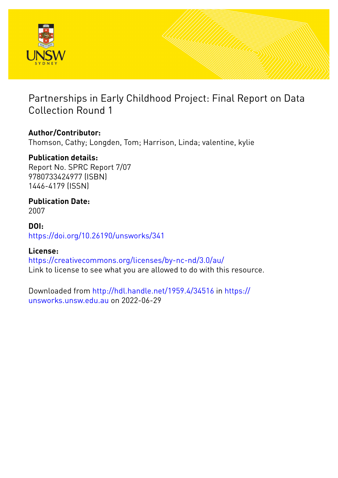

# Partnerships in Early Childhood Project: Final Report on Data Collection Round 1

# **Author/Contributor:**

Thomson, Cathy; Longden, Tom; Harrison, Linda; valentine, kylie

# **Publication details:**

Report No. SPRC Report 7/07 9780733424977 (ISBN) 1446-4179 (ISSN)

# **Publication Date:**

2007

## **DOI:** [https://doi.org/10.26190/unsworks/341](http://dx.doi.org/https://doi.org/10.26190/unsworks/341)

## **License:**

<https://creativecommons.org/licenses/by-nc-nd/3.0/au/> Link to license to see what you are allowed to do with this resource.

Downloaded from <http://hdl.handle.net/1959.4/34516> in [https://](https://unsworks.unsw.edu.au) [unsworks.unsw.edu.au](https://unsworks.unsw.edu.au) on 2022-06-29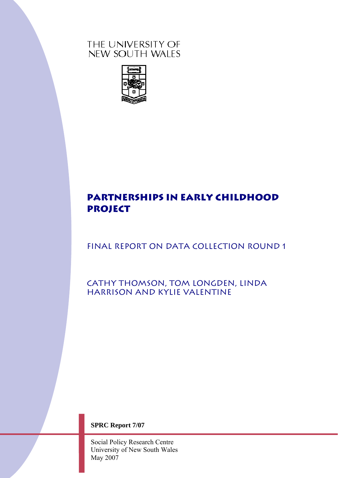# THE UNIVERSITY OF NEW SOUTH WALES



# **PARTNERSHIPS IN EARLY CHILDHOOD PROJECT**

# FINAL REPORT ON DATA COLLECTION ROUND 1

Cathy Thomson, Tom Longden, Linda Harrison and kylie valentine

**SPRC Report 7/07** 

Social Policy Research Centre University of New South Wales May 2007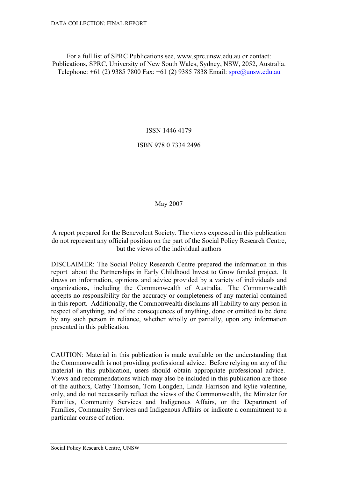For a full list of SPRC Publications see, www.sprc.unsw.edu.au or contact: Publications, SPRC, University of New South Wales, Sydney, NSW, 2052, Australia. Telephone: +61 (2) 9385 7800 Fax: +61 (2) 9385 7838 Email: [sprc@unsw.edu.au](mailto:sprc@unsw.edu.au)

ISSN 1446 4179

ISBN 978 0 7334 2496

May 2007

A report prepared for the Benevolent Society. The views expressed in this publication do not represent any official position on the part of the Social Policy Research Centre, but the views of the individual authors

DISCLAIMER: The Social Policy Research Centre prepared the information in this report about the Partnerships in Early Childhood Invest to Grow funded project. It draws on information, opinions and advice provided by a variety of individuals and organizations, including the Commonwealth of Australia. The Commonwealth accepts no responsibility for the accuracy or completeness of any material contained in this report. Additionally, the Commonwealth disclaims all liability to any person in respect of anything, and of the consequences of anything, done or omitted to be done by any such person in reliance, whether wholly or partially, upon any information presented in this publication.

CAUTION: Material in this publication is made available on the understanding that the Commonwealth is not providing professional advice. Before relying on any of the material in this publication, users should obtain appropriate professional advice. Views and recommendations which may also be included in this publication are those of the authors, Cathy Thomson, Tom Longden, Linda Harrison and kylie valentine, only, and do not necessarily reflect the views of the Commonwealth, the Minister for Families, Community Services and Indigenous Affairs, or the Department of Families, Community Services and Indigenous Affairs or indicate a commitment to a particular course of action.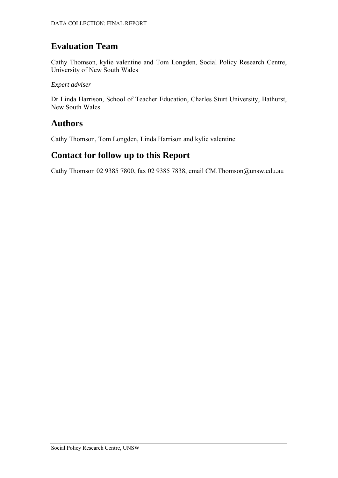# **Evaluation Team**

Cathy Thomson, kylie valentine and Tom Longden, Social Policy Research Centre, University of New South Wales

*Expert adviser* 

Dr Linda Harrison, School of Teacher Education, Charles Sturt University, Bathurst, New South Wales

# **Authors**

Cathy Thomson, Tom Longden, Linda Harrison and kylie valentine

# **Contact for follow up to this Report**

Cathy Thomson 02 9385 7800, fax 02 9385 7838, email CM.Thomson@unsw.edu.au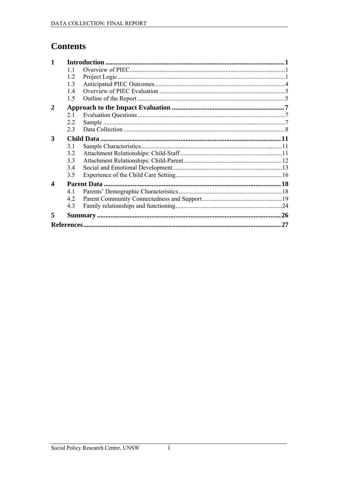# **Contents**

| 11  |    |
|-----|----|
| 1.2 |    |
| 1.3 |    |
| 1.4 |    |
| 1.5 |    |
|     |    |
| 21  |    |
| 2.2 |    |
| 23  |    |
|     |    |
| 3.1 |    |
| 3.2 |    |
| 33  |    |
| 3.4 |    |
| 3.5 |    |
|     |    |
| 4.1 |    |
| 4.2 |    |
| 4.3 |    |
|     |    |
|     | 27 |
|     |    |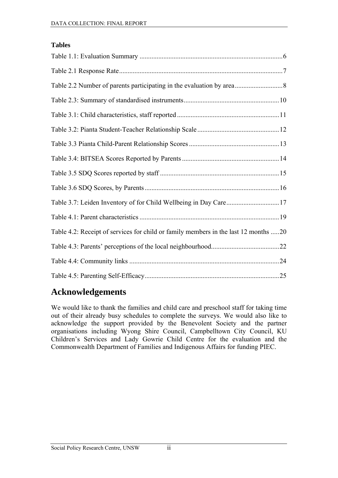#### **Tables**

| Table 3.7: Leiden Inventory of for Child Wellbeing in Day Care17                    |  |
|-------------------------------------------------------------------------------------|--|
|                                                                                     |  |
| Table 4.2: Receipt of services for child or family members in the last 12 months 20 |  |
|                                                                                     |  |
|                                                                                     |  |
|                                                                                     |  |

# **Acknowledgements**

We would like to thank the families and child care and preschool staff for taking time out of their already busy schedules to complete the surveys. We would also like to acknowledge the support provided by the Benevolent Society and the partner organisations including Wyong Shire Council, Campbelltown City Council, KU Children's Services and Lady Gowrie Child Centre for the evaluation and the Commonwealth Department of Families and Indigenous Affairs for funding PIEC.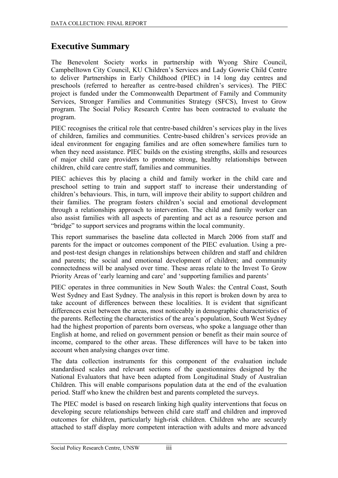# **Executive Summary**

The Benevolent Society works in partnership with Wyong Shire Council, Campbelltown City Council, KU Children's Services and Lady Gowrie Child Centre to deliver Partnerships in Early Childhood (PIEC) in 14 long day centres and preschools (referred to hereafter as centre-based children's services). The PIEC project is funded under the Commonwealth Department of Family and Community Services, Stronger Families and Communities Strategy (SFCS), Invest to Grow program. The Social Policy Research Centre has been contracted to evaluate the program.

PIEC recognises the critical role that centre-based children's services play in the lives of children, families and communities. Centre-based children's services provide an ideal environment for engaging families and are often somewhere families turn to when they need assistance. PIEC builds on the existing strengths, skills and resources of major child care providers to promote strong, healthy relationships between children, child care centre staff, families and communities.

PIEC achieves this by placing a child and family worker in the child care and preschool setting to train and support staff to increase their understanding of children's behaviours. This, in turn, will improve their ability to support children and their families. The program fosters children's social and emotional development through a relationships approach to intervention. The child and family worker can also assist families with all aspects of parenting and act as a resource person and "bridge" to support services and programs within the local community.

This report summarises the baseline data collected in March 2006 from staff and parents for the impact or outcomes component of the PIEC evaluation. Using a preand post-test design changes in relationships between children and staff and children and parents; the social and emotional development of children; and community connectedness will be analysed over time. These areas relate to the Invest To Grow Priority Areas of 'early learning and care' and 'supporting families and parents'

PIEC operates in three communities in New South Wales: the Central Coast, South West Sydney and East Sydney. The analysis in this report is broken down by area to take account of differences between these localities. It is evident that significant differences exist between the areas, most noticeably in demographic characteristics of the parents. Reflecting the characteristics of the area's population, South West Sydney had the highest proportion of parents born overseas, who spoke a language other than English at home, and relied on government pension or benefit as their main source of income, compared to the other areas. These differences will have to be taken into account when analysing changes over time.

The data collection instruments for this component of the evaluation include standardised scales and relevant sections of the questionnaires designed by the National Evaluators that have been adapted from Longitudinal Study of Australian Children. This will enable comparisons population data at the end of the evaluation period. Staff who knew the children best and parents completed the surveys.

The PIEC model is based on research linking high quality interventions that focus on developing secure relationships between child care staff and children and improved outcomes for children, particularly high-risk children. Children who are securely attached to staff display more competent interaction with adults and more advanced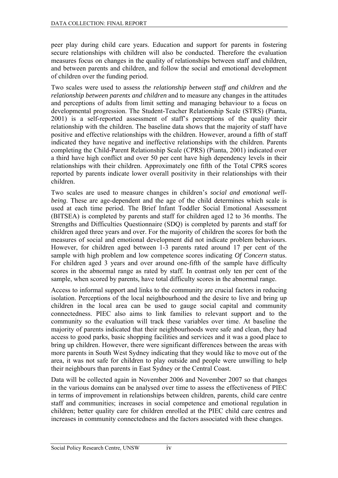peer play during child care years. Education and support for parents in fostering secure relationships with children will also be conducted. Therefore the evaluation measures focus on changes in the quality of relationships between staff and children, and between parents and children, and follow the social and emotional development of children over the funding period.

Two scales were used to assess *the relationship between staff and children* and *the relationship between parents and children* and to measure any changes in the attitudes and perceptions of adults from limit setting and managing behaviour to a focus on developmental progression. The Student-Teacher Relationship Scale (STRS) (Pianta, 2001) is a self-reported assessment of staff's perceptions of the quality their relationship with the children. The baseline data shows that the majority of staff have positive and effective relationships with the children. However, around a fifth of staff indicated they have negative and ineffective relationships with the children. Parents completing the Child-Parent Relationship Scale (CPRS) (Pianta, 2001) indicated over a third have high conflict and over 50 per cent have high dependency levels in their relationships with their children. Approximately one fifth of the Total CPRS scores reported by parents indicate lower overall positivity in their relationships with their children.

Two scales are used to measure changes in children's *social and emotional wellbeing*. These are age-dependent and the age of the child determines which scale is used at each time period. The Brief Infant Toddler Social Emotional Assessment (BITSEA) is completed by parents and staff for children aged 12 to 36 months. The Strengths and Difficulties Questionnaire (SDQ) is completed by parents and staff for children aged three years and over. For the majority of children the scores for both the measures of social and emotional development did not indicate problem behaviours. However, for children aged between 1-3 parents rated around 17 per cent of the sample with high problem and low competence scores indicating *Of Concern* status. For children aged 3 years and over around one-fifth of the sample have difficulty scores in the abnormal range as rated by staff. In contrast only ten per cent of the sample, when scored by parents, have total difficulty scores in the abnormal range.

Access to informal support and links to the community are crucial factors in reducing isolation. Perceptions of the local neighbourhood and the desire to live and bring up children in the local area can be used to gauge social capital and community connectedness. PIEC also aims to link families to relevant support and to the community so the evaluation will track these variables over time. At baseline the majority of parents indicated that their neighbourhoods were safe and clean, they had access to good parks, basic shopping facilities and services and it was a good place to bring up children. However, there were significant differences between the areas with more parents in South West Sydney indicating that they would like to move out of the area, it was not safe for children to play outside and people were unwilling to help their neighbours than parents in East Sydney or the Central Coast.

Data will be collected again in November 2006 and November 2007 so that changes in the various domains can be analysed over time to assess the effectiveness of PIEC in terms of improvement in relationships between children, parents, child care centre staff and communities; increases in social competence and emotional regulation in children; better quality care for children enrolled at the PIEC child care centres and increases in community connectedness and the factors associated with these changes.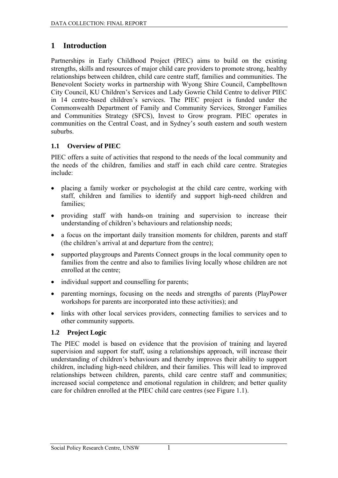# <span id="page-8-0"></span>**1 Introduction**

Partnerships in Early Childhood Project (PIEC) aims to build on the existing strengths, skills and resources of major child care providers to promote strong, healthy relationships between children, child care centre staff, families and communities. The Benevolent Society works in partnership with Wyong Shire Council, Campbelltown City Council, KU Children's Services and Lady Gowrie Child Centre to deliver PIEC in 14 centre-based children's services. The PIEC project is funded under the Commonwealth Department of Family and Community Services, Stronger Families and Communities Strategy (SFCS), Invest to Grow program. PIEC operates in communities on the Central Coast, and in Sydney's south eastern and south western suburbs.

### **1.1 Overview of PIEC**

PIEC offers a suite of activities that respond to the needs of the local community and the needs of the children, families and staff in each child care centre. Strategies include:

- placing a family worker or psychologist at the child care centre, working with staff, children and families to identify and support high-need children and families;
- providing staff with hands-on training and supervision to increase their understanding of children's behaviours and relationship needs;
- a focus on the important daily transition moments for children, parents and staff (the children's arrival at and departure from the centre);
- supported playgroups and Parents Connect groups in the local community open to families from the centre and also to families living locally whose children are not enrolled at the centre;
- individual support and counselling for parents;
- parenting mornings, focusing on the needs and strengths of parents (PlayPower workshops for parents are incorporated into these activities); and
- links with other local services providers, connecting families to services and to other community supports.

### **1.2 Project Logic**

The PIEC model is based on evidence that the provision of training and layered supervision and support for staff, using a relationships approach, will increase their understanding of children's behaviours and thereby improves their ability to support children, including high-need children, and their families. This will lead to improved relationships between children, parents, child care centre staff and communities; increased social competence and emotional regulation in children; and better quality care for children enrolled at the PIEC child care centres (see Figure 1.1).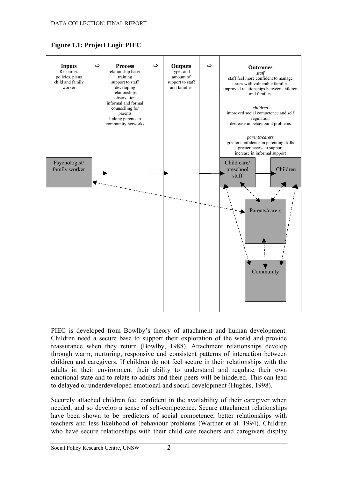

#### **Figure 1.1: Project Logic PIEC**

PIEC is developed from Bowlby's theory of attachment and human development. Children need a secure base to support their exploration of the world and provide reassurance when they return (Bowlby, 1988). Attachment relationships develop through warm, nurturing, responsive and consistent patterns of interaction between children and caregivers. If children do not feel secure in their relationships with the adults in their environment their ability to understand and regulate their own emotional state and to relate to adults and their peers will be hindered. This can lead to delayed or underdeveloped emotional and social development (Hughes, 1998).

Securely attached children feel confident in the availability of their caregiver when needed, and so develop a sense of self-competence. Secure attachment relationships have been shown to be predictors of social competence, better relationships with teachers and less likelihood of behaviour problems (Wartner et al. 1994). Children who have secure relationships with their child care teachers and caregivers display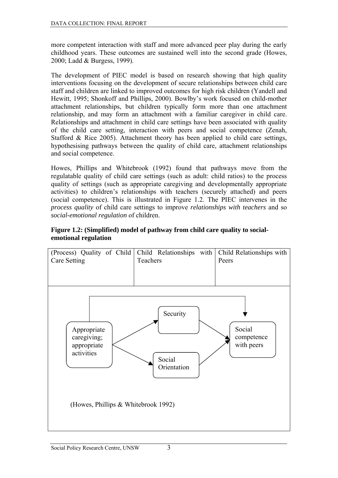more competent interaction with staff and more advanced peer play during the early childhood years. These outcomes are sustained well into the second grade (Howes, 2000; Ladd & Burgess, 1999).

The development of PIEC model is based on research showing that high quality interventions focusing on the development of secure relationships between child care staff and children are linked to improved outcomes for high risk children (Yandell and Hewitt, 1995; Shonkoff and Phillips, 2000). Bowlby's work focused on child-mother attachment relationships, but children typically form more than one attachment relationship, and may form an attachment with a familiar caregiver in child care. Relationships and attachment in child care settings have been associated with quality of the child care setting, interaction with peers and social competence (Zenah, Stafford & Rice 2005). Attachment theory has been applied to child care settings, hypothesising pathways between the quality of child care, attachment relationships and social competence.

Howes, Phillips and Whitebrook (1992) found that pathways move from the regulatable quality of child care settings (such as adult: child ratios) to the process quality of settings (such as appropriate caregiving and developmentally appropriate activities) to children's relationships with teachers (securely attached) and peers (social competence). This is illustrated in Figure 1.2. The PIEC intervenes in the *process quality* of child care settings to improve *relationships with teachers* and so *social-emotional regulation* of children.

#### **Figure 1.2: (Simplified) model of pathway from child care quality to socialemotional regulation**

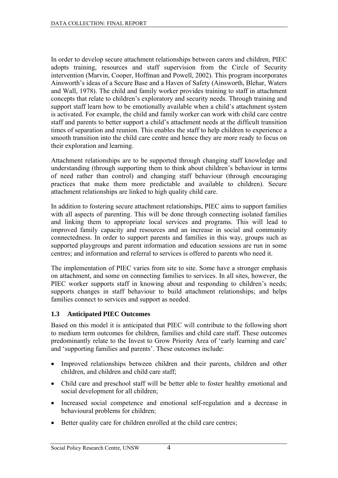<span id="page-11-0"></span>In order to develop secure attachment relationships between carers and children, PIEC adopts training, resources and staff supervision from the Circle of Security intervention (Marvin, Cooper, Hoffman and Powell, 2002). This program incorporates Ainsworth's ideas of a Secure Base and a Haven of Safety (Ainsworth, Blehar, Waters and Wall, 1978). The child and family worker provides training to staff in attachment concepts that relate to children's exploratory and security needs. Through training and support staff learn how to be emotionally available when a child's attachment system is activated. For example, the child and family worker can work with child care centre staff and parents to better support a child's attachment needs at the difficult transition times of separation and reunion. This enables the staff to help children to experience a smooth transition into the child care centre and hence they are more ready to focus on their exploration and learning.

Attachment relationships are to be supported through changing staff knowledge and understanding (through supporting them to think about children's behaviour in terms of need rather than control) and changing staff behaviour (through encouraging practices that make them more predictable and available to children). Secure attachment relationships are linked to high quality child care.

In addition to fostering secure attachment relationships, PIEC aims to support families with all aspects of parenting. This will be done through connecting isolated families and linking them to appropriate local services and programs. This will lead to improved family capacity and resources and an increase in social and community connectedness. In order to support parents and families in this way, groups such as supported playgroups and parent information and education sessions are run in some centres; and information and referral to services is offered to parents who need it.

The implementation of PIEC varies from site to site. Some have a stronger emphasis on attachment, and some on connecting families to services. In all sites, however, the PIEC worker supports staff in knowing about and responding to children's needs; supports changes in staff behaviour to build attachment relationships; and helps families connect to services and support as needed.

#### **1.3 Anticipated PIEC Outcomes**

Based on this model it is anticipated that PIEC will contribute to the following short to medium term outcomes for children, families and child care staff. These outcomes predominantly relate to the Invest to Grow Priority Area of 'early learning and care' and 'supporting families and parents'. These outcomes include:

- Improved relationships between children and their parents, children and other children, and children and child care staff;
- Child care and preschool staff will be better able to foster healthy emotional and social development for all children;
- Increased social competence and emotional self-regulation and a decrease in behavioural problems for children;
- Better quality care for children enrolled at the child care centres;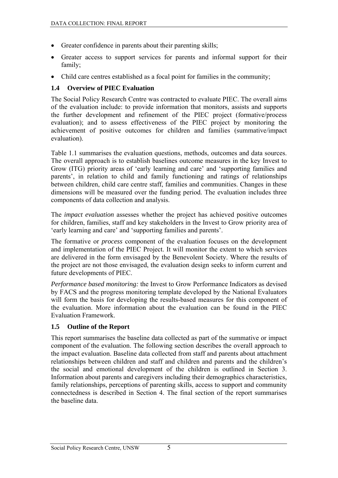- <span id="page-12-0"></span>• Greater confidence in parents about their parenting skills;
- Greater access to support services for parents and informal support for their family;
- Child care centres established as a focal point for families in the community;

### **1.4 Overview of PIEC Evaluation**

The Social Policy Research Centre was contracted to evaluate PIEC. The overall aims of the evaluation include: to provide information that monitors, assists and supports the further development and refinement of the PIEC project (formative/process evaluation); and to assess effectiveness of the PIEC project by monitoring the achievement of positive outcomes for children and families (summative/impact evaluation).

Table 1.1 summarises the evaluation questions, methods, outcomes and data sources. The overall approach is to establish baselines outcome measures in the key Invest to Grow (ITG) priority areas of 'early learning and care' and 'supporting families and parents', in relation to child and family functioning and ratings of relationships between children, child care centre staff, families and communities. Changes in these dimensions will be measured over the funding period. The evaluation includes three components of data collection and analysis.

The *impact evaluation* assesses whether the project has achieved positive outcomes for children, families, staff and key stakeholders in the Invest to Grow priority area of 'early learning and care' and 'supporting families and parents'.

The formative or *process* component of the evaluation focuses on the development and implementation of the PIEC Project. It will monitor the extent to which services are delivered in the form envisaged by the Benevolent Society. Where the results of the project are not those envisaged, the evaluation design seeks to inform current and future developments of PIEC.

*Performance based monitoring:* the Invest to Grow Performance Indicators as devised by FACS and the progress monitoring template developed by the National Evaluators will form the basis for developing the results-based measures for this component of the evaluation. More information about the evaluation can be found in the PIEC Evaluation Framework.

### **1.5 Outline of the Report**

This report summarises the baseline data collected as part of the summative or impact component of the evaluation. The following section describes the overall approach to the impact evaluation. Baseline data collected from staff and parents about attachment relationships between children and staff and children and parents and the children's the social and emotional development of the children is outlined in Section 3. Information about parents and caregivers including their demographics characteristics, family relationships, perceptions of parenting skills, access to support and community connectedness is described in Section 4. The final section of the report summarises the baseline data.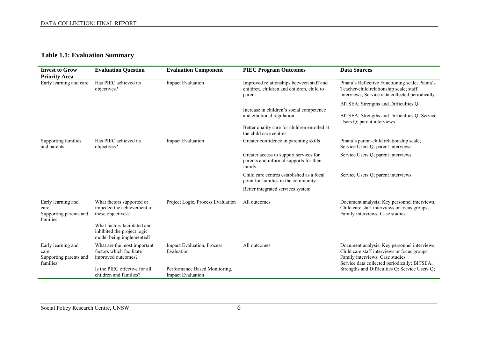## **Table 1.1: Evaluation Summary**

<span id="page-13-0"></span>

| <b>Invest to Grow</b>                                             | <b>Evaluation Question</b>                                                              | <b>Evaluation Component</b>                               | <b>PIEC Program Outcomes</b>                                                                    | <b>Data Sources</b>                                                                                                                           |
|-------------------------------------------------------------------|-----------------------------------------------------------------------------------------|-----------------------------------------------------------|-------------------------------------------------------------------------------------------------|-----------------------------------------------------------------------------------------------------------------------------------------------|
| <b>Priority Area</b>                                              |                                                                                         |                                                           |                                                                                                 |                                                                                                                                               |
| Early learning and care                                           | Has PIEC achieved its<br>objectives?                                                    | <b>Impact Evaluation</b>                                  | Improved relationships between staff and<br>children, children and children, child to<br>parent | Pinata's Reflective Functioning scale; Pianta's<br>Teacher-child relationship scale; staff<br>interviews; Service data collected periodically |
|                                                                   |                                                                                         |                                                           |                                                                                                 | BITSEA; Strengths and Difficulties Q                                                                                                          |
|                                                                   |                                                                                         |                                                           | Increase in children's social competence<br>and emotional regulation                            | BITSEA; Strengths and Difficulties Q; Service<br>Users Q; parent interviews                                                                   |
|                                                                   |                                                                                         |                                                           | Better quality care for children enrolled at<br>the child care centres                          |                                                                                                                                               |
| Supporting families<br>and parents                                | Has PIEC achieved its<br>objectives?                                                    | <b>Impact Evaluation</b>                                  | Greater confidence in parenting skills                                                          | Pinata's parent-child relationship scale;<br>Service Users Q; parent interviews                                                               |
|                                                                   |                                                                                         |                                                           | Greater access to support services for<br>parents and informal supports for their<br>family     | Service Users Q; parent interviews                                                                                                            |
|                                                                   |                                                                                         |                                                           | Child care centres established as a focal<br>point for families in the community                | Service Users Q; parent interviews                                                                                                            |
|                                                                   |                                                                                         |                                                           | Better integrated services system                                                               |                                                                                                                                               |
| Early learning and<br>care:<br>Supporting parents and<br>families | What factors supported or<br>impeded the achievement of<br>these objectives?            | Project Logic, Process Evaluation                         | All outcomes                                                                                    | Document analysis; Key personnel interviews;<br>Child care staff interviews or focus groups;<br>Family interviews; Case studies               |
|                                                                   | What factors facilitated and<br>inhibited the project logic<br>model being implemented? |                                                           |                                                                                                 |                                                                                                                                               |
| Early learning and<br>care;<br>Supporting parents and<br>families | What are the most important<br>factors which facilitate<br>improved outcomes?           | Impact Evaluation, Process<br>Evaluation                  | All outcomes                                                                                    | Document analysis; Key personnel interviews;<br>Child care staff interviews or focus groups;<br>Family interviews; Case studies               |
|                                                                   | Is the PIEC effective for all<br>children and families?                                 | Performance Based Monitoring,<br><b>Impact Evaluation</b> |                                                                                                 | Service data collected periodically; BITSEA;<br>Strengths and Difficulties Q; Service Users Q;                                                |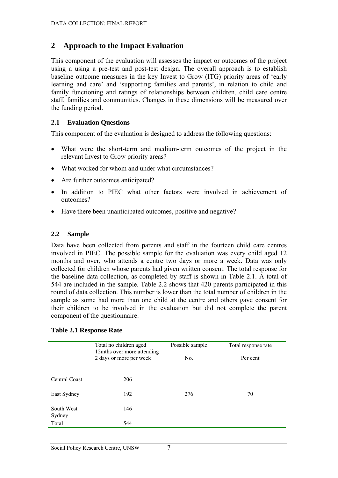## <span id="page-14-0"></span>**2 Approach to the Impact Evaluation**

This component of the evaluation will assesses the impact or outcomes of the project using a using a pre-test and post-test design. The overall approach is to establish baseline outcome measures in the key Invest to Grow (ITG) priority areas of 'early learning and care' and 'supporting families and parents', in relation to child and family functioning and ratings of relationships between children, child care centre staff, families and communities. Changes in these dimensions will be measured over the funding period.

### **2.1 Evaluation Questions**

This component of the evaluation is designed to address the following questions:

- What were the short-term and medium-term outcomes of the project in the relevant Invest to Grow priority areas?
- What worked for whom and under what circumstances?
- Are further outcomes anticipated?
- In addition to PIEC what other factors were involved in achievement of outcomes?
- Have there been unanticipated outcomes, positive and negative?

#### **2.2 Sample**

Data have been collected from parents and staff in the fourteen child care centres involved in PIEC. The possible sample for the evaluation was every child aged 12 months and over, who attends a centre two days or more a week. Data was only collected for children whose parents had given written consent. The total response for the baseline data collection, as completed by staff is shown in Table 2.1. A total of 544 are included in the sample. Table 2.2 shows that 420 parents participated in this round of data collection. This number is lower than the total number of children in the sample as some had more than one child at the centre and others gave consent for their children to be involved in the evaluation but did not complete the parent component of the questionnaire.

#### **Table 2.1 Response Rate**

|                      | Total no children aged<br>12mths over more attending | Possible sample | Total response rate |
|----------------------|------------------------------------------------------|-----------------|---------------------|
|                      | 2 days or more per week                              | No.             | Per cent            |
| Central Coast        | 206                                                  |                 |                     |
| East Sydney          | 192                                                  | 276             | 70                  |
| South West<br>Sydney | 146                                                  |                 |                     |
| Total                | 544                                                  |                 |                     |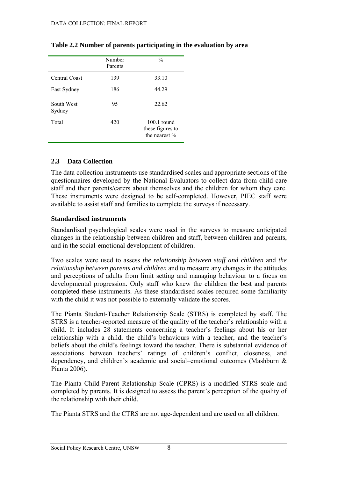|                      | Number<br>Parents | $\frac{0}{0}$                                      |
|----------------------|-------------------|----------------------------------------------------|
| Central Coast        | 139               | 33.10                                              |
| East Sydney          | 186               | 44.29                                              |
| South West<br>Sydney | 95                | 22.62                                              |
| Total                | 420               | $100.1$ round<br>these figures to<br>the nearest % |

#### <span id="page-15-0"></span>**Table 2.2 Number of parents participating in the evaluation by area**

#### **2.3 Data Collection**

The data collection instruments use standardised scales and appropriate sections of the questionnaires developed by the National Evaluators to collect data from child care staff and their parents/carers about themselves and the children for whom they care. These instruments were designed to be self-completed. However, PIEC staff were available to assist staff and families to complete the surveys if necessary.

#### **Standardised instruments**

Standardised psychological scales were used in the surveys to measure anticipated changes in the relationship between children and staff, between children and parents, and in the social-emotional development of children.

Two scales were used to assess *the relationship between staff and children* and *the relationship between parents and children* and to measure any changes in the attitudes and perceptions of adults from limit setting and managing behaviour to a focus on developmental progression. Only staff who knew the children the best and parents completed these instruments. As these standardised scales required some familiarity with the child it was not possible to externally validate the scores.

The Pianta Student-Teacher Relationship Scale (STRS) is completed by staff. The STRS is a teacher-reported measure of the quality of the teacher's relationship with a child. It includes 28 statements concerning a teacher's feelings about his or her relationship with a child, the child's behaviours with a teacher, and the teacher's beliefs about the child's feelings toward the teacher. There is substantial evidence of associations between teachers' ratings of children's conflict, closeness, and dependency, and children's academic and social–emotional outcomes (Mashburn & Pianta 2006).

The Pianta Child-Parent Relationship Scale (CPRS) is a modified STRS scale and completed by parents. It is designed to assess the parent's perception of the quality of the relationship with their child.

The Pianta STRS and the CTRS are not age-dependent and are used on all children.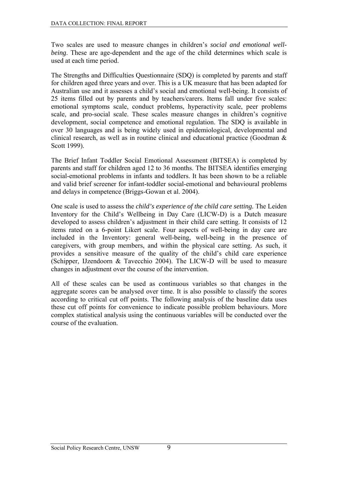Two scales are used to measure changes in children's *social and emotional wellbeing*. These are age-dependent and the age of the child determines which scale is used at each time period.

The Strengths and Difficulties Questionnaire (SDQ) is completed by parents and staff for children aged three years and over. This is a UK measure that has been adapted for Australian use and it assesses a child's social and emotional well-being. It consists of 25 items filled out by parents and by teachers/carers. Items fall under five scales: emotional symptoms scale, conduct problems, hyperactivity scale, peer problems scale, and pro-social scale. These scales measure changes in children's cognitive development, social competence and emotional regulation. The SDQ is available in over 30 languages and is being widely used in epidemiological, developmental and clinical research, as well as in routine clinical and educational practice (Goodman & Scott 1999).

The Brief Infant Toddler Social Emotional Assessment (BITSEA) is completed by parents and staff for children aged 12 to 36 months. The BITSEA identifies emerging social-emotional problems in infants and toddlers. It has been shown to be a reliable and valid brief screener for infant-toddler social-emotional and behavioural problems and delays in competence (Briggs-Gowan et al. 2004).

One scale is used to assess the *child's experience of the child care setting.* The Leiden Inventory for the Child's Wellbeing in Day Care (LICW-D) is a Dutch measure developed to assess children's adjustment in their child care setting. It consists of 12 items rated on a 6-point Likert scale. Four aspects of well-being in day care are included in the Inventory: general well-being, well-being in the presence of caregivers, with group members, and within the physical care setting. As such, it provides a sensitive measure of the quality of the child's child care experience (Schipper, IJzendoorn & Tavecchio 2004). The LICW-D will be used to measure changes in adjustment over the course of the intervention.

All of these scales can be used as continuous variables so that changes in the aggregate scores can be analysed over time. It is also possible to classify the scores according to critical cut off points. The following analysis of the baseline data uses these cut off points for convenience to indicate possible problem behaviours. More complex statistical analysis using the continuous variables will be conducted over the course of the evaluation.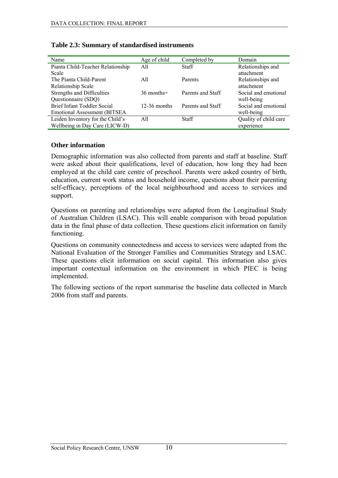| Name                                 | Age of child   | Completed by      | Domain                |
|--------------------------------------|----------------|-------------------|-----------------------|
| Pianta Child-Teacher Relationship    | A11            | <b>Staff</b>      | Relationships and     |
| Scale                                |                |                   | attachment            |
| The Pianta Child-Parent              | A11            | Parents           | Relationships and     |
| Relationship Scale                   |                |                   | attachment            |
| Strengths and Difficulties           | $36$ months+   | Parents and Staff | Social and emotional  |
| Questionnaire (SDQ)                  |                |                   | well-being            |
| Brief Infant Toddler Social          | $12-36$ months | Parents and Staff | Social and emotional  |
| <b>Emotional Assessment (BITSEA)</b> |                |                   | well-being            |
| Leiden Inventory for the Child's     | A11            | <b>Staff</b>      | Quality of child care |
| Wellbeing in Day Care (LICW-D)       |                |                   | experience            |

#### <span id="page-17-0"></span>**Table 2.3: Summary of standardised instruments**

#### **Other information**

Demographic information was also collected from parents and staff at baseline. Staff were asked about their qualifications, level of education, how long they had been employed at the child care centre of preschool. Parents were asked country of birth, education, current work status and household income, questions about their parenting self-efficacy, perceptions of the local neighbourhood and access to services and support.

Questions on parenting and relationships were adapted from the Longitudinal Study of Australian Children (LSAC). This will enable comparison with broad population data in the final phase of data collection. These questions elicit information on family functioning.

Questions on community connectedness and access to services were adapted from the National Evaluation of the Stronger Families and Communities Strategy and LSAC. These questions elicit information on social capital. This information also gives important contextual information on the environment in which PIEC is being implemented.

The following sections of the report summarise the baseline data collected in March 2006 from staff and parents.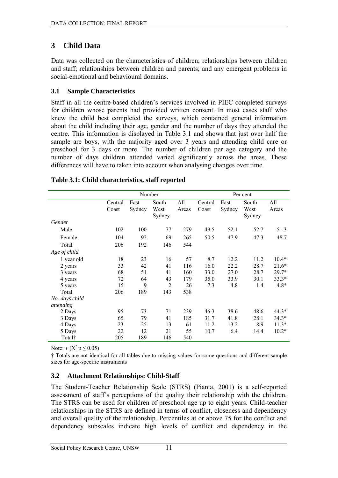# <span id="page-18-0"></span>**3 Child Data**

Data was collected on the characteristics of children; relationships between children and staff; relationships between children and parents; and any emergent problems in social-emotional and behavioural domains.

### **3.1 Sample Characteristics**

Staff in all the centre-based children's services involved in PIEC completed surveys for children whose parents had provided written consent. In most cases staff who knew the child best completed the surveys, which contained general information about the child including their age, gender and the number of days they attended the centre. This information is displayed in Table 3.1 and shows that just over half the sample are boys, with the majority aged over 3 years and attending child care or preschool for 3 days or more. The number of children per age category and the number of days children attended varied significantly across the areas. These differences will have to taken into account when analysing changes over time.

|                |                  | Number         |                         |              | Per cent         |                |                         |              |  |
|----------------|------------------|----------------|-------------------------|--------------|------------------|----------------|-------------------------|--------------|--|
|                | Central<br>Coast | East<br>Sydney | South<br>West<br>Sydney | All<br>Areas | Central<br>Coast | East<br>Sydney | South<br>West<br>Sydney | All<br>Areas |  |
| Gender         |                  |                |                         |              |                  |                |                         |              |  |
| Male           | 102              | 100            | 77                      | 279          | 49.5             | 52.1           | 52.7                    | 51.3         |  |
| Female         | 104              | 92             | 69                      | 265          | 50.5             | 47.9           | 47.3                    | 48.7         |  |
| Total          | 206              | 192            | 146                     | 544          |                  |                |                         |              |  |
| Age of child   |                  |                |                         |              |                  |                |                         |              |  |
| 1 year old     | 18               | 23             | 16                      | 57           | 8.7              | 12.2           | 11.2                    | $10.4*$      |  |
| 2 years        | 33               | 42             | 41                      | 116          | 16.0             | 22.2           | 28.7                    | $21.6*$      |  |
| 3 years        | 68               | 51             | 41                      | 160          | 33.0             | 27.0           | 28.7                    | $29.7*$      |  |
| 4 years        | 72               | 64             | 43                      | 179          | 35.0             | 33.9           | 30.1                    | $33.3*$      |  |
| 5 years        | 15               | 9              | $\overline{2}$          | 26           | 7.3              | 4.8            | 1.4                     | $4.8*$       |  |
| Total          | 206              | 189            | 143                     | 538          |                  |                |                         |              |  |
| No. days child |                  |                |                         |              |                  |                |                         |              |  |
| attending      |                  |                |                         |              |                  |                |                         |              |  |
| 2 Days         | 95               | 73             | 71                      | 239          | 46.3             | 38.6           | 48.6                    | $44.3*$      |  |
| 3 Days         | 65               | 79             | 41                      | 185          | 31.7             | 41.8           | 28.1                    | $34.3*$      |  |
| 4 Days         | 23               | 25             | 13                      | 61           | 11.2             | 13.2           | 8.9                     | $11.3*$      |  |
| 5 Days         | 22               | 12             | 21                      | 55           | 10.7             | 6.4            | 14.4                    | $10.2*$      |  |
| Total†         | 205              | 189            | 146                     | 540          |                  |                |                         |              |  |

#### **Table 3.1: Child characteristics, staff reported**

Note:  $*(X^2 p \le 0.05)$ 

† Totals are not identical for all tables due to missing values for some questions and different sample sizes for age-specific instruments

### **3.2 Attachment Relationships: Child-Staff**

The Student-Teacher Relationship Scale (STRS) (Pianta, 2001) is a self-reported assessment of staff's perceptions of the quality their relationship with the children. The STRS can be used for children of preschool age up to eight years. Child-teacher relationships in the STRS are defined in terms of conflict, closeness and dependency and overall quality of the relationship. Percentiles at or above 75 for the conflict and dependency subscales indicate high levels of conflict and dependency in the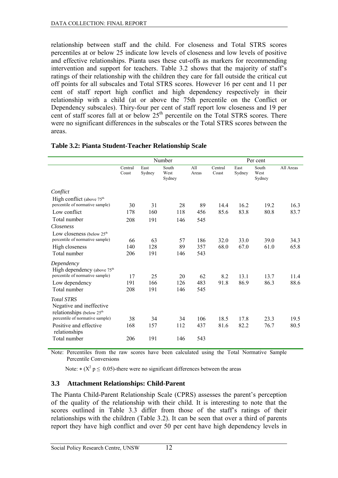<span id="page-19-0"></span>relationship between staff and the child. For closeness and Total STRS scores percentiles at or below 25 indicate low levels of closeness and low levels of positive and effective relationships. Pianta uses these cut-offs as markers for recommending intervention and support for teachers. Table 3.2 shows that the majority of staff's ratings of their relationship with the children they care for fall outside the critical cut off points for all subscales and Total STRS scores. However 16 per cent and 11 per cent of staff report high conflict and high dependency respectively in their relationship with a child (at or above the 75th percentile on the Conflict or Dependency subscales). Thiry-four per cent of staff report low closeness and 19 per cent of staff scores fall at or below  $25<sup>th</sup>$  percentile on the Total STRS scores. There were no significant differences in the subscales or the Total STRS scores between the areas.

|                                                                                                                            | Number           |                  |                         |                  |                  |                | Per cent                |              |
|----------------------------------------------------------------------------------------------------------------------------|------------------|------------------|-------------------------|------------------|------------------|----------------|-------------------------|--------------|
|                                                                                                                            | Central<br>Coast | East<br>Sydney   | South<br>West<br>Sydney | All<br>Areas     | Central<br>Coast | East<br>Sydney | South<br>West<br>Sydney | All Areas    |
| Conflict                                                                                                                   |                  |                  |                         |                  |                  |                |                         |              |
| High conflict (above 75 <sup>th</sup><br>percentile of normative sample)                                                   | 30               | 31               | 28                      | 89               | 14.4             | 16.2           | 19.2                    | 16.3         |
| Low conflict                                                                                                               | 178              | 160              | 118                     | 456              | 85.6             | 83.8           | 80.8                    | 83.7         |
| Total number                                                                                                               | 208              | 191              | 146                     | 545              |                  |                |                         |              |
| Closeness                                                                                                                  |                  |                  |                         |                  |                  |                |                         |              |
| Low closeness (below $25th$<br>percentile of normative sample)                                                             | 66               | 63               | 57                      | 186              | 32.0             | 33.0           | 39.0                    | 34.3         |
| High closeness                                                                                                             | 140              | 128              | 89                      | 357              | 68.0             | 67.0           | 61.0                    | 65.8         |
| Total number                                                                                                               | 206              | 191              | 146                     | 543              |                  |                |                         |              |
| Dependency<br>High dependency (above 75 <sup>th</sup><br>percentile of normative sample)<br>Low dependency<br>Total number | 17<br>191<br>208 | 25<br>166<br>191 | 20<br>126<br>146        | 62<br>483<br>545 | 8.2<br>91.8      | 13.1<br>86.9   | 13.7<br>86.3            | 11.4<br>88.6 |
| <b>Total STRS</b><br>Negative and ineffective<br>relationships (below 25 <sup>th</sup>                                     |                  |                  |                         |                  |                  |                |                         |              |
| percentile of normative sample)                                                                                            | 38               | 34               | 34                      | 106              | 18.5             | 17.8           | 23.3                    | 19.5         |
| Positive and effective<br>relationships                                                                                    | 168              | 157              | 112                     | 437              | 81.6             | 82.2           | 76.7                    | 80.5         |
| Total number                                                                                                               | 206              | 191              | 146                     | 543              |                  |                |                         |              |

#### **Table 3.2: Pianta Student-Teacher Relationship Scale**

Note: Percentiles from the raw scores have been calculated using the Total Normative Sample Percentile Conversions

Note:  $*(X^2 p \le 0.05)$ -there were no significant differences between the areas

#### **3.3 Attachment Relationships: Child-Parent**

The Pianta Child-Parent Relationship Scale (CPRS) assesses the parent's perception of the quality of the relationship with their child. It is interesting to note that the scores outlined in Table 3.3 differ from those of the staff's ratings of their relationships with the children (Table 3.2). It can be seen that over a third of parents report they have high conflict and over 50 per cent have high dependency levels in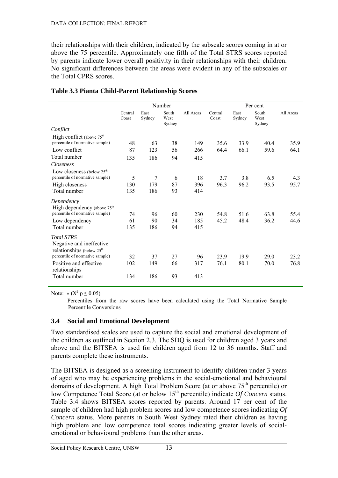<span id="page-20-0"></span>their relationships with their children, indicated by the subscale scores coming in at or above the 75 percentile. Approximately one fifth of the Total STRS scores reported by parents indicate lower overall positivity in their relationships with their children. No significant differences between the areas were evident in any of the subscales or the Total CPRS scores.

|                                                                   | Number           |                |                         |           | Per cent         |                |                         |           |
|-------------------------------------------------------------------|------------------|----------------|-------------------------|-----------|------------------|----------------|-------------------------|-----------|
|                                                                   | Central<br>Coast | East<br>Sydney | South<br>West<br>Sydney | All Areas | Central<br>Coast | East<br>Sydney | South<br>West<br>Sydney | All Areas |
| Conflict                                                          |                  |                |                         |           |                  |                |                         |           |
| High conflict (above 75 <sup>th</sup>                             |                  |                |                         |           |                  |                |                         |           |
| percentile of normative sample)                                   | 48               | 63             | 38                      | 149       | 35.6             | 33.9           | 40.4                    | 35.9      |
| Low conflict                                                      | 87               | 123            | 56                      | 266       | 64.4             | 66.1           | 59.6                    | 64.1      |
| Total number                                                      | 135              | 186            | 94                      | 415       |                  |                |                         |           |
| Closeness                                                         |                  |                |                         |           |                  |                |                         |           |
| Low closeness (below $25th$                                       |                  |                |                         |           |                  |                |                         |           |
| percentile of normative sample)                                   | 5                | 7              | 6                       | 18        | 3.7              | 3.8            | 6.5                     | 4.3       |
| High closeness                                                    | 130              | 179            | 87                      | 396       | 96.3             | 96.2           | 93.5                    | 95.7      |
| Total number                                                      | 135              | 186            | 93                      | 414       |                  |                |                         |           |
| Dependency                                                        |                  |                |                         |           |                  |                |                         |           |
| High dependency (above 75 <sup>th</sup>                           |                  |                |                         |           |                  |                |                         |           |
| percentile of normative sample)                                   | 74               | 96             | 60                      | 230       | 54.8             | 51.6           | 63.8                    | 55.4      |
| Low dependency                                                    | 61               | 90             | 34                      | 185       | 45.2             | 48.4           | 36.2                    | 44.6      |
| Total number                                                      | 135              | 186            | 94                      | 415       |                  |                |                         |           |
| <b>Total STRS</b>                                                 |                  |                |                         |           |                  |                |                         |           |
| Negative and ineffective<br>relationships (below 25 <sup>th</sup> |                  |                |                         |           |                  |                |                         |           |
| percentile of normative sample)                                   | 32               | 37             | 27                      | 96        | 23.9             | 19.9           | 29.0                    | 23.2      |
| Positive and effective<br>relationships                           | 102              | 149            | 66                      | 317       | 76.1             | 80.1           | 70.0                    | 76.8      |
| Total number                                                      | 134              | 186            | 93                      | 413       |                  |                |                         |           |

#### **Table 3.3 Pianta Child-Parent Relationship Scores**

Note:  $*(X^2 p \le 0.05)$ 

Percentiles from the raw scores have been calculated using the Total Normative Sample Percentile Conversions

#### **3.4 Social and Emotional Development**

Two standardised scales are used to capture the social and emotional development of the children as outlined in Section 2.3. The SDQ is used for children aged 3 years and above and the BITSEA is used for children aged from 12 to 36 months. Staff and parents complete these instruments.

The BITSEA is designed as a screening instrument to identify children under 3 years of aged who may be experiencing problems in the social-emotional and behavioural domains of development. A high Total Problem Score (at or above 75th percentile) or low Competence Total Score (at or below 15<sup>th</sup> percentile) indicate *Of Concern* status. Table 3.4 shows BITSEA scores reported by parents. Around 17 per cent of the sample of children had high problem scores and low competence scores indicating *Of Concern* status. More parents in South West Sydney rated their children as having high problem and low competence total scores indicating greater levels of socialemotional or behavioural problems than the other areas.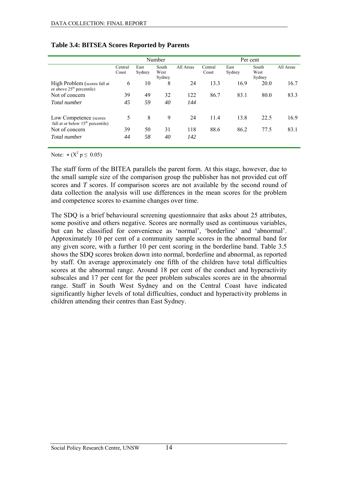|                                                                       | Number           |                |                         |           | Per cent         |                |                         |           |
|-----------------------------------------------------------------------|------------------|----------------|-------------------------|-----------|------------------|----------------|-------------------------|-----------|
|                                                                       | Central<br>Coast | East<br>Sydney | South<br>West<br>Sydney | All Areas | Central<br>Coast | East<br>Sydney | South<br>West<br>Sydney | All Areas |
| High Problem (scores fall at<br>or above 25 <sup>th</sup> percentile) | 6                | 10             | 8                       | 24        | 13.3             | 16.9           | 20.0                    | 16.7      |
| Not of concern                                                        | 39               | 49             | 32                      | 122       | 86.7             | 83.1           | 80.0                    | 83.3      |
| Total number                                                          | 45               | 59             | 40                      | 144       |                  |                |                         |           |
| Low Competence (scores<br>fall at or below $15th$ percentile)         | 5                | 8              | 9                       | 24        | 11.4             | 13.8           | 22.5                    | 16.9      |
| Not of concern                                                        | 39               | 50             | 31                      | 118       | 88.6             | 86.2           | 77.5                    | 83.1      |
| Total number                                                          | 44               | 58             | 40                      | 142       |                  |                |                         |           |

#### <span id="page-21-0"></span>**Table 3.4: BITSEA Scores Reported by Parents**

Note:  $*(X^2 p \le 0.05)$ 

The staff form of the BITEA parallels the parent form. At this stage, however, due to the small sample size of the comparison group the publisher has not provided cut off scores and *T* scores. If comparison scores are not available by the second round of data collection the analysis will use differences in the mean scores for the problem and competence scores to examine changes over time.

The SDQ is a brief behavioural screening questionnaire that asks about 25 attributes, some positive and others negative. Scores are normally used as continuous variables, but can be classified for convenience as 'normal', 'borderline' and 'abnormal'. Approximately 10 per cent of a community sample scores in the abnormal band for any given score, with a further 10 per cent scoring in the borderline band. Table 3.5 shows the SDQ scores broken down into normal, borderline and abnormal, as reported by staff. On average approximately one fifth of the children have total difficulties scores at the abnormal range. Around 18 per cent of the conduct and hyperactivity subscales and 17 per cent for the peer problem subscales scores are in the abnormal range. Staff in South West Sydney and on the Central Coast have indicated significantly higher levels of total difficulties, conduct and hyperactivity problems in children attending their centres than East Sydney.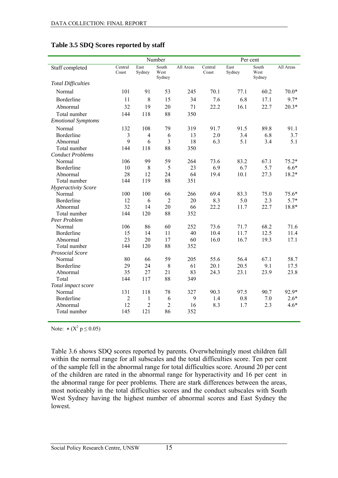|                            |                  |                | Number                  |           |                  | Per cent       |                         |           |
|----------------------------|------------------|----------------|-------------------------|-----------|------------------|----------------|-------------------------|-----------|
| Staff completed            | Central<br>Coast | East<br>Sydney | South<br>West<br>Sydney | All Areas | Central<br>Coast | East<br>Sydney | South<br>West<br>Sydney | All Areas |
| <b>Total Difficulties</b>  |                  |                |                         |           |                  |                |                         |           |
| Normal                     | 101              | 91             | 53                      | 245       | 70.1             | 77.1           | 60.2                    | $70.0*$   |
| Borderline                 | 11               | 8              | 15                      | 34        | 7.6              | 6.8            | 17.1                    | 9.7*      |
| Abnormal                   | 32               | 19             | 20                      | 71        | 22.2             | 16.1           | 22.7                    | $20.3*$   |
| Total number               | 144              | 118            | 88                      | 350       |                  |                |                         |           |
| <b>Emotional Symptoms</b>  |                  |                |                         |           |                  |                |                         |           |
| Normal                     | 132              | 108            | 79                      | 319       | 91.7             | 91.5           | 89.8                    | 91.1      |
| Borderline                 | 3                | $\overline{4}$ | 6                       | 13        | 2.0              | 3.4            | 6.8                     | 3.7       |
| Abnormal                   | 9                | 6              | $\overline{3}$          | 18        | 6.3              | 5.1            | 3.4                     | 5.1       |
| Total number               | 144              | 118            | 88                      | 350       |                  |                |                         |           |
| <b>Conduct Problems</b>    |                  |                |                         |           |                  |                |                         |           |
| Normal                     | 106              | 99             | 59                      | 264       | 73.6             | 83.2           | 67.1                    | $75.2*$   |
| Borderline                 | 10               | 8              | 5                       | 23        | 6.9              | 6.7            | 5.7                     | $6.6*$    |
| Abnormal                   | 28               | 12             | 24                      | 64        | 19.4             | 10.1           | 27.3                    | $18.2*$   |
| Total number               | 144              | 119            | 88                      | 351       |                  |                |                         |           |
| <b>Hyperactivity Score</b> |                  |                |                         |           |                  |                |                         |           |
| Normal                     | 100              | 100            | 66                      | 266       | 69.4             | 83.3           | 75.0                    | $75.6*$   |
| Borderline                 | 12               | 6              | $\overline{2}$          | 20        | 8.3              | 5.0            | 2.3                     | $5.7*$    |
| Abnormal                   | 32               | 14             | 20                      | 66        | 22.2             | 11.7           | 22.7                    | 18.8*     |
| Total number               | 144              | 120            | 88                      | 352       |                  |                |                         |           |
| Peer Problem               |                  |                |                         |           |                  |                |                         |           |
| Normal                     | 106              | 86             | 60                      | 252       | 73.6             | 71.7           | 68.2                    | 71.6      |
| Borderline                 | 15               | 14             | 11                      | 40        | 10.4             | 11.7           | 12.5                    | 11.4      |
| Abnormal                   | 23               | 20             | 17                      | 60        | 16.0             | 16.7           | 19.3                    | 17.1      |
| Total number               | 144              | 120            | 88                      | 352       |                  |                |                         |           |
| Prosocial Score            |                  |                |                         |           |                  |                |                         |           |
| Normal                     | 80               | 66             | 59                      | 205       | 55.6             | 56.4           | 67.1                    | 58.7      |
| Borderline                 | 29               | 24             | 8                       | 61        | 20.1             | 20.5           | 9.1                     | 17.5      |
| Abnormal                   | 35               | 27             | 21                      | 83        | 24.3             | 23.1           | 23.9                    | 23.8      |
| Total                      | 144              | 117            | 88                      | 349       |                  |                |                         |           |
| Total impact score         |                  |                |                         |           |                  |                |                         |           |
| Normal                     | 131              | 118            | 78                      | 327       | 90.3             | 97.5           | 90.7                    | 92.9*     |
| Borderline                 | $\overline{2}$   | 1              | 6                       | 9         | 1.4              | 0.8            | 7.0                     | $2.6*$    |
| Abnormal                   | 12               | $\overline{2}$ | $\mathbf 2$             | 16        | 8.3              | 1.7            | 2.3                     | $4.6*$    |
| Total number               | 145              | 121            | 86                      | 352       |                  |                |                         |           |

#### <span id="page-22-0"></span>**Table 3.5 SDQ Scores reported by staff**

Note:  $*(X^2 p \le 0.05)$ 

Table 3.6 shows SDQ scores reported by parents. Overwhelmingly most children fall within the normal range for all subscales and the total difficulties score. Ten per cent of the sample fell in the abnormal range for total difficulties score. Around 20 per cent of the children are rated in the abnormal range for hyperactivity and 16 per cent in the abnormal range for peer problems. There are stark differences between the areas, most noticeably in the total difficulties scores and the conduct subscales with South West Sydney having the highest number of abnormal scores and East Sydney the lowest.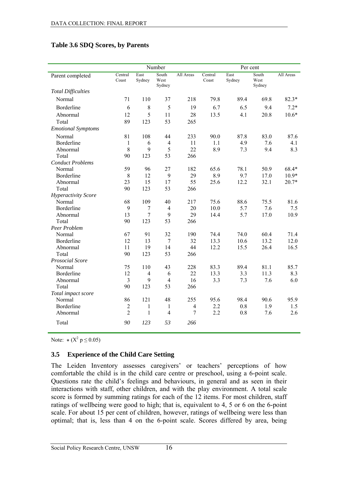#### <span id="page-23-0"></span>**Table 3.6 SDQ Scores, by Parents**

|                            |                  |                  | Number                  |                |                  | Per cent       |                         |           |
|----------------------------|------------------|------------------|-------------------------|----------------|------------------|----------------|-------------------------|-----------|
| Parent completed           | Central<br>Coast | East<br>Sydney   | South<br>West<br>Sydney | All Areas      | Central<br>Coast | East<br>Sydney | South<br>West<br>Sydney | All Areas |
| <b>Total Difficulties</b>  |                  |                  |                         |                |                  |                |                         |           |
| Normal                     | 71               | 110              | 37                      | 218            | 79.8             | 89.4           | 69.8                    | $82.3*$   |
| Borderline                 | 6                | $\,8\,$          | 5                       | 19             | 6.7              | 6.5            | 9.4                     | $7.2*$    |
| Abnormal                   | 12               | 5                | 11                      | 28             | 13.5             | 4.1            | 20.8                    | $10.6*$   |
| Total                      | 89               | 123              | 53                      | 265            |                  |                |                         |           |
| <b>Emotional Symptoms</b>  |                  |                  |                         |                |                  |                |                         |           |
| Normal                     | 81               | 108              | 44                      | 233            | 90.0             | 87.8           | 83.0                    | 87.6      |
| Borderline                 | $\mathbf{1}$     | 6                | $\overline{4}$          | 11             | 1.1              | 4.9            | 7.6                     | 4.1       |
| Abnormal                   | 8                | 9                | 5                       | 22             | 8.9              | 7.3            | 9.4                     | 8.3       |
| Total                      | 90               | 123              | 53                      | 266            |                  |                |                         |           |
| <b>Conduct Problems</b>    |                  |                  |                         |                |                  |                |                         |           |
| Normal                     | 59               | 96               | 27                      | 182            | 65.6             | 78.1           | 50.9                    | 68.4*     |
| Borderline                 | $\,8\,$          | 12               | 9                       | 29             | 8.9              | 9.7            | 17.0                    | $10.9*$   |
| Abnormal                   | 23               | 15               | 17                      | 55             | 25.6             | 12.2           | 32.1                    | $20.7*$   |
| Total                      | 90               | 123              | 53                      | 266            |                  |                |                         |           |
| <b>Hyperactivity Score</b> |                  |                  |                         |                |                  |                |                         |           |
| Normal                     | 68               | 109              | 40                      | 217            | 75.6             | 88.6           | 75.5                    | 81.6      |
| Borderline                 | 9                | 7                | $\overline{4}$          | 20             | 10.0             | 5.7            | 7.6                     | 7.5       |
| Abnormal                   | 13               | $\boldsymbol{7}$ | 9                       | 29             | 14.4             | 5.7            | 17.0                    | 10.9      |
| Total                      | 90               | 123              | 53                      | 266            |                  |                |                         |           |
| Peer Problem               |                  |                  |                         |                |                  |                |                         |           |
| Normal                     | 67               | 91               | 32                      | 190            | 74.4             | 74.0           | 60.4                    | 71.4      |
| Borderline                 | 12               | 13               | $\tau$                  | 32             | 13.3             | 10.6           | 13.2                    | 12.0      |
| Abnormal                   | 11               | 19               | 14                      | 44             | 12.2             | 15.5           | 26.4                    | 16.5      |
| Total                      | 90               | 123              | 53                      | 266            |                  |                |                         |           |
| Prosocial Score            |                  |                  |                         |                |                  |                |                         |           |
| Normal                     | 75               | 110              | 43                      | 228            | 83.3             | 89.4           | 81.1                    | 85.7      |
| Borderline                 | 12               | $\overline{4}$   | 6                       | 22             | 13.3             | 3.3            | 11.3                    | 8.3       |
| Abnormal                   | $\overline{3}$   | 9                | $\overline{4}$          | 16             | 3.3              | 7.3            | 7.6                     | 6.0       |
| Total                      | 90               | 123              | 53                      | 266            |                  |                |                         |           |
| Total impact score         |                  |                  |                         |                |                  |                |                         |           |
| Normal                     | 86               | 121              | 48                      | 255            | 95.6             | 98.4           | 90.6                    | 95.9      |
| Borderline                 | $\boldsymbol{2}$ | $\mathbf{1}$     | $\mathbf{1}$            | $\overline{4}$ | 2.2              | 0.8            | 1.9                     | 1.5       |
| Abnormal                   | $\overline{2}$   | $\mathbf{1}$     | $\overline{4}$          | $\overline{7}$ | 2.2              | 0.8            | 7.6                     | 2.6       |
| Total                      | 90               | 123              | 53                      | 266            |                  |                |                         |           |

Note:  $*(X^2 p \le 0.05)$ 

#### **3.5 Experience of the Child Care Setting**

The Leiden Inventory assesses caregivers' or teachers' perceptions of how comfortable the child is in the child care centre or preschool, using a 6-point scale. Questions rate the child's feelings and behaviours, in general and as seen in their interactions with staff, other children, and with the play environment. A total scale score is formed by summing ratings for each of the 12 items. For most children, staff ratings of wellbeing were good to high; that is, equivalent to 4, 5 or 6 on the 6-point scale. For about 15 per cent of children, however, ratings of wellbeing were less than optimal; that is, less than 4 on the 6-point scale. Scores differed by area, being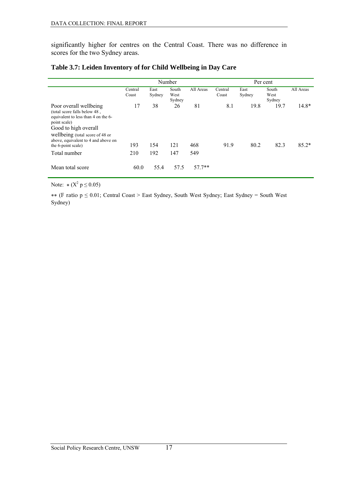<span id="page-24-0"></span>significantly higher for centres on the Central Coast. There was no difference in scores for the two Sydney areas.

| Table 3.7: Leiden Inventory of for Child Wellbeing in Day Care |  |
|----------------------------------------------------------------|--|
|----------------------------------------------------------------|--|

|                                                                                                                                                                                                                 | Number           |                |                         |           | Per cent         |                |                         |           |
|-----------------------------------------------------------------------------------------------------------------------------------------------------------------------------------------------------------------|------------------|----------------|-------------------------|-----------|------------------|----------------|-------------------------|-----------|
|                                                                                                                                                                                                                 | Central<br>Coast | East<br>Sydney | South<br>West<br>Sydney | All Areas | Central<br>Coast | East<br>Sydney | South<br>West<br>Sydney | All Areas |
| Poor overall wellbeing<br>(total score falls below 48,<br>equivalent to less than 4 on the 6-<br>point scale)<br>Good to high overall<br>wellbeing (total score of 48 or<br>above, equivalent to 4 and above on | 17               | 38             | 26                      | 81        | 8.1              | 19.8           | 19.7                    | $14.8*$   |
| the 6-point scale)                                                                                                                                                                                              | 193              | 154            | 121                     | 468       | 91.9             | 80.2           | 82.3                    | $85.2*$   |
| Total number                                                                                                                                                                                                    | 210              | 192            | 147                     | 549       |                  |                |                         |           |
| Mean total score                                                                                                                                                                                                | 60.0             | 55.4           | 57.5                    | $57.7**$  |                  |                |                         |           |

Note:  $*(X^2 p \le 0.05)$ 

\*\* (F ratio p ≤ 0.01; Central Coast > East Sydney, South West Sydney; East Sydney = South West Sydney)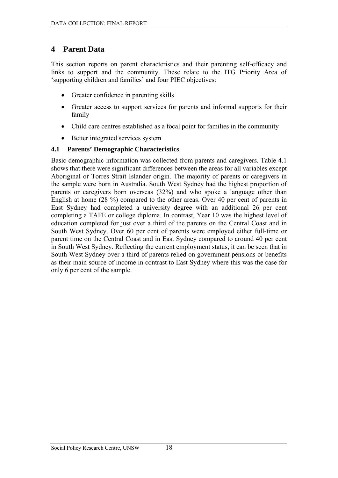## <span id="page-25-0"></span>**4 Parent Data**

This section reports on parent characteristics and their parenting self-efficacy and links to support and the community. These relate to the ITG Priority Area of 'supporting children and families' and four PIEC objectives:

- Greater confidence in parenting skills
- Greater access to support services for parents and informal supports for their family
- Child care centres established as a focal point for families in the community
- Better integrated services system

#### **4.1 Parents' Demographic Characteristics**

Basic demographic information was collected from parents and caregivers. Table 4.1 shows that there were significant differences between the areas for all variables except Aboriginal or Torres Strait Islander origin. The majority of parents or caregivers in the sample were born in Australia. South West Sydney had the highest proportion of parents or caregivers born overseas (32%) and who spoke a language other than English at home (28 %) compared to the other areas. Over 40 per cent of parents in East Sydney had completed a university degree with an additional 26 per cent completing a TAFE or college diploma. In contrast, Year 10 was the highest level of education completed for just over a third of the parents on the Central Coast and in South West Sydney. Over 60 per cent of parents were employed either full-time or parent time on the Central Coast and in East Sydney compared to around 40 per cent in South West Sydney. Reflecting the current employment status, it can be seen that in South West Sydney over a third of parents relied on government pensions or benefits as their main source of income in contrast to East Sydney where this was the case for only 6 per cent of the sample.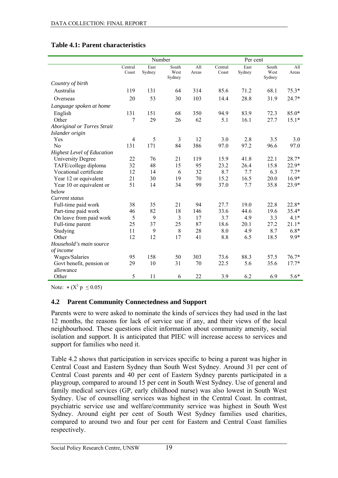|                                   |                  |                | Number                  |              | Per cent         |                |                         |              |
|-----------------------------------|------------------|----------------|-------------------------|--------------|------------------|----------------|-------------------------|--------------|
|                                   | Central<br>Coast | East<br>Sydney | South<br>West<br>Sydney | All<br>Areas | Central<br>Coast | East<br>Sydney | South<br>West<br>Sydney | All<br>Areas |
| Country of birth                  |                  |                |                         |              |                  |                |                         |              |
| Australia                         | 119              | 131            | 64                      | 314          | 85.6             | 71.2           | 68.1                    | $75.3*$      |
| Overseas                          | 20               | 53             | 30                      | 103          | 14.4             | 28.8           | 31.9                    | $24.7*$      |
| Language spoken at home           |                  |                |                         |              |                  |                |                         |              |
| English                           | 131              | 151            | 68                      | 350          | 94.9             | 83.9           | 72.3                    | $85.0*$      |
| Other                             | 7                | 29             | 26                      | 62           | 5.1              | 16.1           | 27.7                    | $15.1*$      |
| Aboriginal or Torres Strait       |                  |                |                         |              |                  |                |                         |              |
| Islander origin                   |                  |                |                         |              |                  |                |                         |              |
| Yes                               | $\overline{4}$   | 5              | $\mathfrak{Z}$          | 12           | 3.0              | 2.8            | 3.5                     | 3.0          |
| No                                | 131              | 171            | 84                      | 386          | 97.0             | 97.2           | 96.6                    | 97.0         |
| <b>Highest Level of Education</b> |                  |                |                         |              |                  |                |                         |              |
| <b>University Degree</b>          | 22               | 76             | 21                      | 119          | 15.9             | 41.8           | 22.1                    | 28.7*        |
| TAFE/college diploma              | 32               | 48             | 15                      | 95           | 23.2             | 26.4           | 15.8                    | 22.9*        |
| Vocational certificate            | 12               | 14             | 6                       | 32           | 8.7              | 7.7            | 6.3                     | $7.7*$       |
| Year 12 or equivalent             | 21               | 30             | 19                      | 70           | 15.2             | 16.5           | 20.0                    | $16.9*$      |
| Year 10 or equivalent or          | 51               | 14             | 34                      | 99           | 37.0             | 7.7            | 35.8                    | 23.9*        |
| below                             |                  |                |                         |              |                  |                |                         |              |
| Current status                    |                  |                |                         |              |                  |                |                         |              |
| Full-time paid work               | 38               | 35             | 21                      | 94           | 27.7             | 19.0           | 22.8                    | 22.8*        |
| Part-time paid work               | 46               | 82             | 18                      | 146          | 33.6             | 44.6           | 19.6                    | $35.4*$      |
| On leave from paid work           | 5                | 9              | 3                       | 17           | 3.7              | 4.9            | 3.3                     | $4.1*$       |
| Full-time parent                  | 25               | 37             | 25                      | 87           | 18.6             | 20.1           | 27.2                    | $21.1*$      |
| Studying                          | 11               | 9              | 8                       | 28           | 8.0              | 4.9            | 8.7                     | $6.8*$       |
| Other                             | 12               | 12             | 17                      | 41           | 8.8              | 6.5            | 18.5                    | 9.9*         |
| Household's main source           |                  |                |                         |              |                  |                |                         |              |
| of income                         |                  |                |                         |              |                  |                |                         |              |
| Wages/Salaries                    | 95               | 158            | 50                      | 303          | 73.6             | 88.3           | 57.5                    | $76.7*$      |
| Govt benefit, pension or          | 29               | 10             | 31                      | 70           | 22.5             | 5.6            | 35.6                    | $17.7*$      |
| allowance                         |                  |                |                         |              |                  |                |                         |              |
| Other                             | 5                | 11             | 6                       | 22           | 3.9              | 6.2            | 6.9                     | $5.6*$       |

#### <span id="page-26-0"></span>**Table 4.1: Parent characteristics**

Note:  $*(X^2 p \le 0.05)$ 

#### **4.2 Parent Community Connectedness and Support**

Parents were to were asked to nominate the kinds of services they had used in the last 12 months, the reasons for lack of service use if any, and their views of the local neighbourhood. These questions elicit information about community amenity, social isolation and support. It is anticipated that PIEC will increase access to services and support for families who need it.

Table 4.2 shows that participation in services specific to being a parent was higher in Central Coast and Eastern Sydney than South West Sydney. Around 31 per cent of Central Coast parents and 40 per cent of Eastern Sydney parents participated in a playgroup, compared to around 15 per cent in South West Sydney. Use of general and family medical services (GP, early childhood nurse) was also lowest in South West Sydney. Use of counselling services was highest in the Central Coast. In contrast, psychiatric service use and welfare/community service was highest in South West Sydney. Around eight per cent of South West Sydney families used charities, compared to around two and four per cent for Eastern and Central Coast families respectively.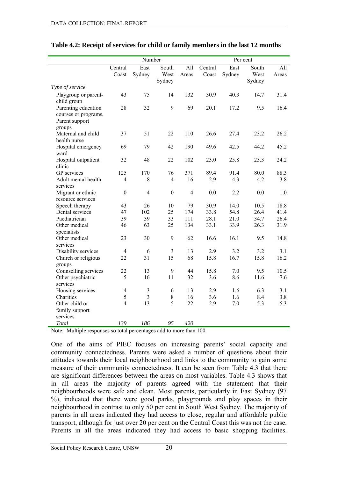|                                                                         |                         | Number         |                         |                           | Per cent         |                |                         |              |
|-------------------------------------------------------------------------|-------------------------|----------------|-------------------------|---------------------------|------------------|----------------|-------------------------|--------------|
|                                                                         | Central<br>Coast        | East<br>Sydney | South<br>West<br>Sydney | $\overline{All}$<br>Areas | Central<br>Coast | East<br>Sydney | South<br>West<br>Sydney | All<br>Areas |
| Type of service                                                         |                         |                |                         |                           |                  |                |                         |              |
| Playgroup or parent-<br>child group                                     | 43                      | 75             | 14                      | 132                       | 30.9             | 40.3           | 14.7                    | 31.4         |
| Parenting education<br>courses or programs,<br>Parent support<br>groups | 28                      | 32             | 9                       | 69                        | 20.1             | 17.2           | 9.5                     | 16.4         |
| Maternal and child<br>health nurse                                      | 37                      | 51             | 22                      | 110                       | 26.6             | 27.4           | 23.2                    | 26.2         |
| Hospital emergency<br>ward                                              | 69                      | 79             | 42                      | 190                       | 49.6             | 42.5           | 44.2                    | 45.2         |
| Hospital outpatient<br>clinic                                           | 32                      | 48             | 22                      | 102                       | 23.0             | 25.8           | 23.3                    | 24.2         |
| GP services                                                             | 125                     | 170            | 76                      | 371                       | 89.4             | 91.4           | 80.0                    | 88.3         |
| Adult mental health<br>services                                         | $\overline{4}$          | 8              | $\overline{4}$          | 16                        | 2.9              | 4.3            | 4.2                     | 3.8          |
| Migrant or ethnic<br>resource services                                  | $\boldsymbol{0}$        | $\overline{4}$ | $\boldsymbol{0}$        | $\overline{4}$            | 0.0              | 2.2            | 0.0                     | 1.0          |
| Speech therapy                                                          | 43                      | 26             | 10                      | 79                        | 30.9             | 14.0           | 10.5                    | 18.8         |
| Dental services                                                         | 47                      | 102            | 25                      | 174                       | 33.8             | 54.8           | 26.4                    | 41.4         |
| Paediatrician                                                           | 39                      | 39             | 33                      | 111                       | 28.1             | 21.0           | 34.7                    | 26.4         |
| Other medical<br>specialists                                            | 46                      | 63             | 25                      | 134                       | 33.1             | 33.9           | 26.3                    | 31.9         |
| Other medical<br>services                                               | 23                      | 30             | 9                       | 62                        | 16.6             | 16.1           | 9.5                     | 14.8         |
| Disability services                                                     | $\overline{4}$          | 6              | $\mathfrak{Z}$          | 13                        | 2.9              | 3.2            | 3.2                     | 3.1          |
| Church or religious<br>groups                                           | 22                      | 31             | 15                      | 68                        | 15.8             | 16.7           | 15.8                    | 16.2         |
| Counselling services                                                    | 22                      | 13             | 9                       | 44                        | 15.8             | 7.0            | 9.5                     | 10.5         |
| Other psychiatric<br>services                                           | 5                       | 16             | 11                      | 32                        | 3.6              | 8.6            | 11.6                    | 7.6          |
| Housing services                                                        | $\overline{\mathbf{4}}$ | $\mathfrak{Z}$ | 6                       | 13                        | 2.9              | 1.6            | 6.3                     | 3.1          |
| Charities                                                               | 5                       | $\overline{3}$ | $\,$ 8 $\,$             | 16                        | 3.6              | 1.6            | 8.4                     | 3.8          |
| Other child or                                                          | $\overline{4}$          | 13             | 5                       | 22                        | 2.9              | 7.0            | 5.3                     | 5.3          |
| family support<br>services                                              |                         |                |                         |                           |                  |                |                         |              |
| Total                                                                   | 139                     | 186            | 95                      | 420                       |                  |                |                         |              |
|                                                                         |                         |                |                         |                           |                  |                |                         |              |

#### <span id="page-27-0"></span>**Table 4.2: Receipt of services for child or family members in the last 12 months**

Note: Multiple responses so total percentages add to more than 100.

One of the aims of PIEC focuses on increasing parents' social capacity and community connectedness. Parents were asked a number of questions about their attitudes towards their local neighbourhood and links to the community to gain some measure of their community connectedness. It can be seen from Table 4.3 that there are significant differences between the areas on most variables. Table 4.3 shows that in all areas the majority of parents agreed with the statement that their neighbourhoods were safe and clean. Most parents, particularly in East Sydney (97 %), indicated that there were good parks, playgrounds and play spaces in their neighbourhood in contrast to only 50 per cent in South West Sydney. The majority of parents in all areas indicated they had access to close, regular and affordable public transport, although for just over 20 per cent on the Central Coast this was not the case. Parents in all the areas indicated they had access to basic shopping facilities.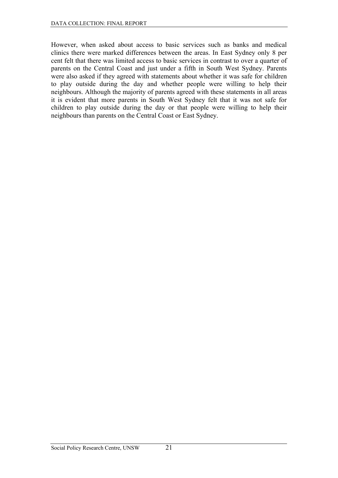However, when asked about access to basic services such as banks and medical clinics there were marked differences between the areas. In East Sydney only 8 per cent felt that there was limited access to basic services in contrast to over a quarter of parents on the Central Coast and just under a fifth in South West Sydney. Parents were also asked if they agreed with statements about whether it was safe for children to play outside during the day and whether people were willing to help their neighbours. Although the majority of parents agreed with these statements in all areas it is evident that more parents in South West Sydney felt that it was not safe for children to play outside during the day or that people were willing to help their neighbours than parents on the Central Coast or East Sydney.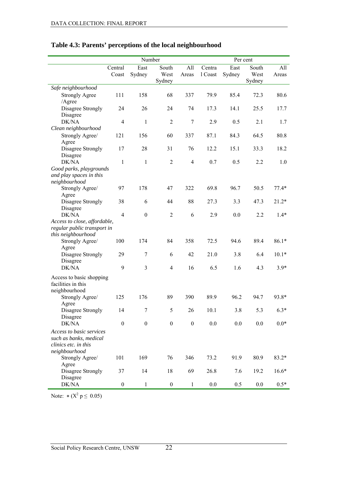|                                                                                             |                  | Number           |                         |                  | Per cent          |                |                         |              |
|---------------------------------------------------------------------------------------------|------------------|------------------|-------------------------|------------------|-------------------|----------------|-------------------------|--------------|
|                                                                                             | Central<br>Coast | East<br>Sydney   | South<br>West<br>Sydney | All<br>Areas     | Centra<br>1 Coast | East<br>Sydney | South<br>West<br>Sydney | All<br>Areas |
| Safe neighbourhood                                                                          |                  |                  |                         |                  |                   |                |                         |              |
| <b>Strongly Agree</b>                                                                       | 111              | 158              | 68                      | 337              | 79.9              | 85.4           | 72.3                    | 80.6         |
| /Agree                                                                                      |                  |                  |                         |                  |                   |                |                         |              |
| Disagree Strongly<br>Disagree                                                               | 24               | 26               | 24                      | 74               | 17.3              | 14.1           | 25.5                    | 17.7         |
| DK/NA                                                                                       | $\overline{4}$   | $\mathbf{1}$     | $\overline{2}$          | $\tau$           | 2.9               | 0.5            | 2.1                     | 1.7          |
| Clean neighbourhood                                                                         |                  |                  |                         |                  |                   |                |                         |              |
| Strongly Agree/<br>Agree                                                                    | 121              | 156              | 60                      | 337              | 87.1              | 84.3           | 64.5                    | 80.8         |
| Disagree Strongly<br>Disagree                                                               | 17               | 28               | 31                      | 76               | 12.2              | 15.1           | 33.3                    | 18.2         |
| DK/NA                                                                                       | $\mathbf{1}$     | $\mathbf{1}$     | $\boldsymbol{2}$        | $\overline{4}$   | 0.7               | 0.5            | 2.2                     | 1.0          |
| Good parks, playgrounds<br>and play spaces in this<br>neighbourhood                         |                  |                  |                         |                  |                   |                |                         |              |
| Strongly Agree/<br>Agree                                                                    | 97               | 178              | 47                      | 322              | 69.8              | 96.7           | 50.5                    | $77.4*$      |
| Disagree Strongly<br>Disagree                                                               | 38               | 6                | 44                      | 88               | 27.3              | 3.3            | 47.3                    | $21.2*$      |
| DK/NA                                                                                       | $\overline{4}$   | $\boldsymbol{0}$ | $\overline{2}$          | 6                | 2.9               | 0.0            | 2.2                     | $1.4*$       |
| Access to close, affordable,<br>regular public transport in<br>this neighbourhood           |                  |                  |                         |                  |                   |                |                         |              |
| Strongly Agree/<br>Agree                                                                    | 100              | 174              | 84                      | 358              | 72.5              | 94.6           | 89.4                    | $86.1*$      |
| Disagree Strongly<br>Disagree                                                               | 29               | 7                | 6                       | 42               | 21.0              | 3.8            | 6.4                     | $10.1*$      |
| DK/NA                                                                                       | 9                | $\overline{3}$   | $\overline{4}$          | 16               | 6.5               | 1.6            | 4.3                     | $3.9*$       |
| Access to basic shopping<br>facilities in this<br>neighbourhood                             |                  |                  |                         |                  |                   |                |                         |              |
| Strongly Agree/<br>Agree                                                                    | 125              | 176              | 89                      | 390              | 89.9              | 96.2           | 94.7                    | 93.8*        |
| Disagree Strongly<br>Disagree                                                               | 14               | 7                | 5                       | $26\,$           | 10.1              | 3.8            | 5.3                     | $6.3*$       |
| DK/NA                                                                                       | $\boldsymbol{0}$ | $\boldsymbol{0}$ | $\boldsymbol{0}$        | $\boldsymbol{0}$ | $0.0\,$           | 0.0            | 0.0                     | $0.0*$       |
| Access to basic services<br>such as banks, medical<br>clinics etc. in this<br>neighbourhood |                  |                  |                         |                  |                   |                |                         |              |
| Strongly Agree/<br>Agree                                                                    | 101              | 169              | 76                      | 346              | 73.2              | 91.9           | 80.9                    | $83.2*$      |
| Disagree Strongly<br>Disagree                                                               | 37               | 14               | 18                      | 69               | 26.8              | 7.6            | 19.2                    | $16.6*$      |
| DK/NA                                                                                       | $\boldsymbol{0}$ | $\mathbf{1}$     | $\boldsymbol{0}$        | $\mathbf{1}$     | $0.0\,$           | 0.5            | 0.0                     | $0.5*$       |

### <span id="page-29-0"></span>**Table 4.3: Parents' perceptions of the local neighbourhood**

Note:  $*(X^2 p \le 0.05)$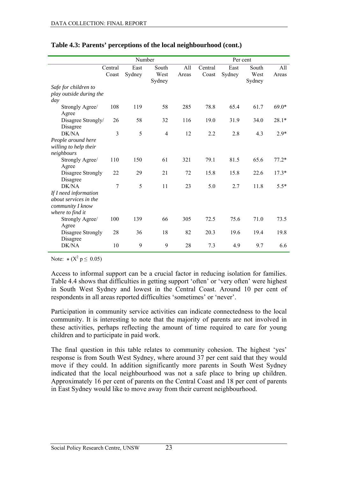|                                                               |                  | Number         |                         |              |                  | Per cent       |                         |              |  |
|---------------------------------------------------------------|------------------|----------------|-------------------------|--------------|------------------|----------------|-------------------------|--------------|--|
|                                                               | Central<br>Coast | East<br>Sydney | South<br>West<br>Sydney | A11<br>Areas | Central<br>Coast | East<br>Sydney | South<br>West<br>Sydney | A11<br>Areas |  |
| Safe for children to<br>play outside during the<br>day        |                  |                |                         |              |                  |                |                         |              |  |
| Strongly Agree/<br>Agree                                      | 108              | 119            | 58                      | 285          | 78.8             | 65.4           | 61.7                    | $69.0*$      |  |
| Disagree Strongly/<br>Disagree                                | 26               | 58             | 32                      | 116          | 19.0             | 31.9           | 34.0                    | $28.1*$      |  |
| DK/NA<br>People around here                                   | 3                | 5              | $\overline{4}$          | 12           | 2.2              | 2.8            | 4.3                     | $2.9*$       |  |
| willing to help their<br>neighbours                           |                  |                |                         |              |                  |                |                         |              |  |
| Strongly Agree/<br>Agree                                      | 110              | 150            | 61                      | 321          | 79.1             | 81.5           | 65.6                    | $77.2*$      |  |
| Disagree Strongly<br>Disagree                                 | 22               | 29             | 21                      | 72           | 15.8             | 15.8           | 22.6                    | $17.3*$      |  |
| DK/NA<br>If I need information                                | 7                | 5              | 11                      | 23           | 5.0              | 2.7            | 11.8                    | $5.5*$       |  |
| about services in the<br>community I know<br>where to find it |                  |                |                         |              |                  |                |                         |              |  |
| Strongly Agree/<br>Agree                                      | 100              | 139            | 66                      | 305          | 72.5             | 75.6           | 71.0                    | 73.5         |  |
| Disagree Strongly<br>Disagree                                 | 28               | 36             | 18                      | 82           | 20.3             | 19.6           | 19.4                    | 19.8         |  |
| DK/NA                                                         | 10               | 9              | 9                       | 28           | 7.3              | 4.9            | 9.7                     | 6.6          |  |

#### **Table 4.3: Parents' perceptions of the local neighbourhood (cont.)**

Note:  $*(X^2 p \le 0.05)$ 

Access to informal support can be a crucial factor in reducing isolation for families. Table 4.4 shows that difficulties in getting support 'often' or 'very often' were highest in South West Sydney and lowest in the Central Coast. Around 10 per cent of respondents in all areas reported difficulties 'sometimes' or 'never'.

Participation in community service activities can indicate connectedness to the local community. It is interesting to note that the majority of parents are not involved in these activities, perhaps reflecting the amount of time required to care for young children and to participate in paid work.

The final question in this table relates to community cohesion. The highest 'yes' response is from South West Sydney, where around 37 per cent said that they would move if they could. In addition significantly more parents in South West Sydney indicated that the local neighbourhood was not a safe place to bring up children. Approximately 16 per cent of parents on the Central Coast and 18 per cent of parents in East Sydney would like to move away from their current neighbourhood.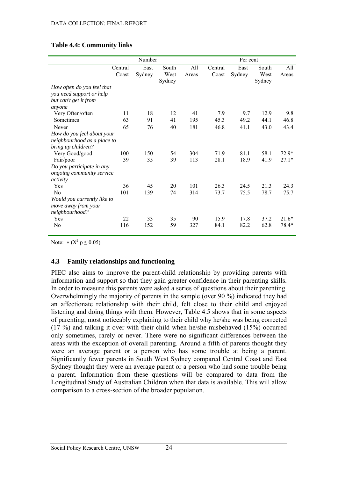|                             |         | Number |        |       |         | Per cent |        |         |  |
|-----------------------------|---------|--------|--------|-------|---------|----------|--------|---------|--|
|                             | Central | East   | South  | All   | Central | East     | South  | All     |  |
|                             | Coast   | Sydney | West   | Areas | Coast   | Sydney   | West   | Areas   |  |
|                             |         |        | Sydney |       |         |          | Sydney |         |  |
| How often do you feel that  |         |        |        |       |         |          |        |         |  |
| you need support or help    |         |        |        |       |         |          |        |         |  |
| but can't get it from       |         |        |        |       |         |          |        |         |  |
| anyone                      |         |        |        |       |         |          |        |         |  |
| Very Often/often            | 11      | 18     | 12     | 41    | 7.9     | 9.7      | 12.9   | 9.8     |  |
| Sometimes                   | 63      | 91     | 41     | 195   | 45.3    | 49.2     | 44.1   | 46.8    |  |
| Never                       | 65      | 76     | 40     | 181   | 46.8    | 41.1     | 43.0   | 43.4    |  |
| How do you feel about your  |         |        |        |       |         |          |        |         |  |
| neighbourhood as a place to |         |        |        |       |         |          |        |         |  |
| bring up children?          |         |        |        |       |         |          |        |         |  |
| Very Good/good              | 100     | 150    | 54     | 304   | 71.9    | 81.1     | 58.1   | 72.9*   |  |
| Fair/poor                   | 39      | 35     | 39     | 113   | 28.1    | 18.9     | 41.9   | $27.1*$ |  |
| Do you participate in any   |         |        |        |       |         |          |        |         |  |
| ongoing community service   |         |        |        |       |         |          |        |         |  |
| activity                    |         |        |        |       |         |          |        |         |  |
| Yes                         | 36      | 45     | 20     | 101   | 26.3    | 24.5     | 21.3   | 24.3    |  |
| N <sub>0</sub>              | 101     | 139    | 74     | 314   | 73.7    | 75.5     | 78.7   | 75.7    |  |
| Would you currently like to |         |        |        |       |         |          |        |         |  |
| move away from your         |         |        |        |       |         |          |        |         |  |
| neighbourhood?              |         |        |        |       |         |          |        |         |  |
| Yes                         | 22      | 33     | 35     | 90    | 15.9    | 17.8     | 37.2   | $21.6*$ |  |
| No                          | 116     | 152    | 59     | 327   | 84.1    | 82.2     | 62.8   | 78.4*   |  |
|                             |         |        |        |       |         |          |        |         |  |

#### <span id="page-31-0"></span>**Table 4.4: Community links**

Note:  $*(X^2 p \le 0.05)$ 

#### **4.3 Family relationships and functioning**

PIEC also aims to improve the parent-child relationship by providing parents with information and support so that they gain greater confidence in their parenting skills. In order to measure this parents were asked a series of questions about their parenting. Overwhelmingly the majority of parents in the sample (over 90 %) indicated they had an affectionate relationship with their child, felt close to their child and enjoyed listening and doing things with them. However, Table 4.5 shows that in some aspects of parenting, most noticeably explaining to their child why he/she was being corrected (17 %) and talking it over with their child when he/she misbehaved (15%) occurred only sometimes, rarely or never. There were no significant differences between the areas with the exception of overall parenting. Around a fifth of parents thought they were an average parent or a person who has some trouble at being a parent. Significantly fewer parents in South West Sydney compared Central Coast and East Sydney thought they were an average parent or a person who had some trouble being a parent. Information from these questions will be compared to data from the Longitudinal Study of Australian Children when that data is available. This will allow comparison to a cross-section of the broader population.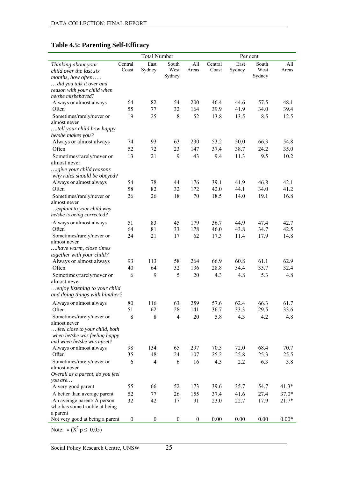### <span id="page-32-0"></span>**Table 4.5: Parenting Self-Efficacy**

|                                                       |                  | <b>Total Number</b> |                  |                  |              |              | Per cent     |              |
|-------------------------------------------------------|------------------|---------------------|------------------|------------------|--------------|--------------|--------------|--------------|
| Thinking about your                                   | Central          | East                | South            | All              | Central      | East         | South        | All          |
| child over the last six                               | Coast            | Sydney              | West             | Areas            | Coast        | Sydney       | West         | Areas        |
| months, how often                                     |                  |                     | Sydney           |                  |              |              | Sydney       |              |
| did you talk it over and                              |                  |                     |                  |                  |              |              |              |              |
| reason with your child when                           |                  |                     |                  |                  |              |              |              |              |
| he/she misbehaved?                                    |                  | 82                  |                  | 200              |              |              |              | 48.1         |
| Always or almost always<br>Often                      | 64<br>55         | 77                  | 54<br>32         | 164              | 46.4<br>39.9 | 44.6<br>41.9 | 57.5<br>34.0 | 39.4         |
| Sometimes/rarely/never or                             | 19               | 25                  | $\,8\,$          | 52               | 13.8         | 13.5         | 8.5          | 12.5         |
| almost never                                          |                  |                     |                  |                  |              |              |              |              |
| tell your child how happy                             |                  |                     |                  |                  |              |              |              |              |
| he/she makes you?                                     |                  |                     |                  |                  |              |              |              |              |
| Always or almost always                               | 74               | 93                  | 63               | 230              | 53.2         | 50.0         | 66.3         | 54.8         |
| Often                                                 | 52               | 72                  | 23               | 147              | 37.4         | 38.7         | 24.2         | 35.0         |
| Sometimes/rarely/never or                             | 13               | 21                  | 9                | 43               | 9.4          | 11.3         | 9.5          | 10.2         |
| almost never                                          |                  |                     |                  |                  |              |              |              |              |
| give your child reasons                               |                  |                     |                  |                  |              |              |              |              |
| why rules should be obeyed?                           |                  |                     |                  |                  |              |              |              |              |
| Always or almost always                               | 54               | 78                  | 44               | 176              | 39.1         | 41.9         | 46.8         | 42.1         |
| Often                                                 | 58               | 82                  | 32               | 172              | 42.0         | 44.1         | 34.0         | 41.2         |
| Sometimes/rarely/never or                             | 26               | 26                  | 18               | 70               | 18.5         | 14.0         | 19.1         | 16.8         |
| almost never                                          |                  |                     |                  |                  |              |              |              |              |
| explain to your child why                             |                  |                     |                  |                  |              |              |              |              |
| he/she is being corrected?                            |                  |                     |                  |                  |              |              |              |              |
| Always or almost always                               | 51               | 83                  | 45               | 179              | 36.7         | 44.9         | 47.4         | 42.7         |
| Often<br>Sometimes/rarely/never or                    | 64<br>24         | 81<br>21            | 33<br>17         | 178<br>62        | 46.0<br>17.3 | 43.8<br>11.4 | 34.7<br>17.9 | 42.5<br>14.8 |
| almost never                                          |                  |                     |                  |                  |              |              |              |              |
| have warm, close times                                |                  |                     |                  |                  |              |              |              |              |
| together with your child?                             |                  |                     |                  |                  |              |              |              |              |
| Always or almost always                               | 93               | 113                 | 58               | 264              | 66.9         | 60.8         | 61.1         | 62.9         |
| Often                                                 | 40               | 64                  | 32               | 136              | 28.8         | 34.4         | 33.7         | 32.4         |
| Sometimes/rarely/never or                             | 6                | 9                   | 5                | 20               | 4.3          | 4.8          | 5.3          | 4.8          |
| almost never                                          |                  |                     |                  |                  |              |              |              |              |
| enjoy listening to your child                         |                  |                     |                  |                  |              |              |              |              |
| and doing things with him/her?                        |                  |                     |                  |                  |              |              |              |              |
| Always or almost always                               | 80               | 116                 | 63               | 259              | 57.6         | 62.4         | 66.3         | 61.7         |
| Often                                                 | 51               | 62                  | 28               | 141              | 36.7         | 33.3         | 29.5         | 33.6         |
| Sometimes/rarely/never or                             | 8                | 8                   | $\overline{4}$   | 20               | 5.8          | 4.3          | 4.2          | 4.8          |
| almost never                                          |                  |                     |                  |                  |              |              |              |              |
| feel close to your child, both                        |                  |                     |                  |                  |              |              |              |              |
| when he/she was feeling happy                         |                  |                     |                  |                  |              |              |              |              |
| and when he/she was upset?<br>Always or almost always | 98               | 134                 | 65               | 297              | 70.5         | 72.0         | 68.4         | 70.7         |
| Often                                                 | 35               | 48                  | 24               | 107              | 25.2         | 25.8         | 25.3         | 25.5         |
| Sometimes/rarely/never or                             | 6                | $\overline{4}$      | 6                | 16               | 4.3          | 2.2          | 6.3          | 3.8          |
| almost never                                          |                  |                     |                  |                  |              |              |              |              |
| Overall as a parent, do you feel                      |                  |                     |                  |                  |              |              |              |              |
| you are                                               |                  |                     |                  |                  |              |              |              |              |
| A very good parent                                    | 55               | 66                  | 52               | 173              | 39.6         | 35.7         | 54.7         | $41.3*$      |
| A better than average parent                          | 52               | 77                  | 26               | 155              | 37.4         | 41.6         | 27.4         | $37.0*$      |
| An average parent/ A person                           | 32               | 42                  | 17               | 91               | 23.0         | 22.7         | 17.9         | 21.7*        |
| who has some trouble at being                         |                  |                     |                  |                  |              |              |              |              |
| a parent                                              |                  |                     |                  |                  |              |              |              |              |
| Not very good at being a parent                       | $\boldsymbol{0}$ | $\boldsymbol{0}$    | $\boldsymbol{0}$ | $\boldsymbol{0}$ | 0.00         | 0.00         | 0.00         | $0.00*$      |

Note:  $*(X^2 p \le 0.05)$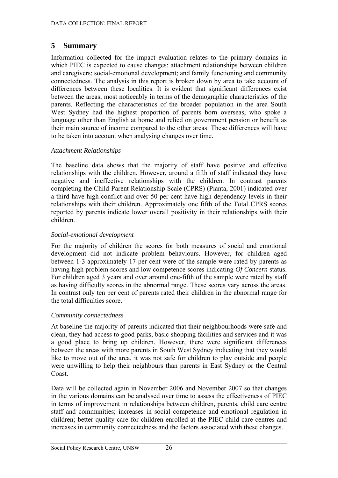## <span id="page-33-0"></span>**5 Summary**

Information collected for the impact evaluation relates to the primary domains in which PIEC is expected to cause changes: attachment relationships between children and caregivers; social-emotional development; and family functioning and community connectedness. The analysis in this report is broken down by area to take account of differences between these localities. It is evident that significant differences exist between the areas, most noticeably in terms of the demographic characteristics of the parents. Reflecting the characteristics of the broader population in the area South West Sydney had the highest proportion of parents born overseas, who spoke a language other than English at home and relied on government pension or benefit as their main source of income compared to the other areas. These differences will have to be taken into account when analysing changes over time.

#### *Attachment Relationships*

The baseline data shows that the majority of staff have positive and effective relationships with the children. However, around a fifth of staff indicated they have negative and ineffective relationships with the children. In contrast parents completing the Child-Parent Relationship Scale (CPRS) (Pianta, 2001) indicated over a third have high conflict and over 50 per cent have high dependency levels in their relationships with their children. Approximately one fifth of the Total CPRS scores reported by parents indicate lower overall positivity in their relationships with their children.

### *Social-emotional development*

For the majority of children the scores for both measures of social and emotional development did not indicate problem behaviours. However, for children aged between 1-3 approximately 17 per cent were of the sample were rated by parents as having high problem scores and low competence scores indicating *Of Concern* status. For children aged 3 years and over around one-fifth of the sample were rated by staff as having difficulty scores in the abnormal range. These scores vary across the areas. In contrast only ten per cent of parents rated their children in the abnormal range for the total difficulties score.

#### *Community connectedness*

At baseline the majority of parents indicated that their neighbourhoods were safe and clean, they had access to good parks, basic shopping facilities and services and it was a good place to bring up children. However, there were significant differences between the areas with more parents in South West Sydney indicating that they would like to move out of the area, it was not safe for children to play outside and people were unwilling to help their neighbours than parents in East Sydney or the Central Coast.

Data will be collected again in November 2006 and November 2007 so that changes in the various domains can be analysed over time to assess the effectiveness of PIEC in terms of improvement in relationships between children, parents, child care centre staff and communities; increases in social competence and emotional regulation in children; better quality care for children enrolled at the PIEC child care centres and increases in community connectedness and the factors associated with these changes.